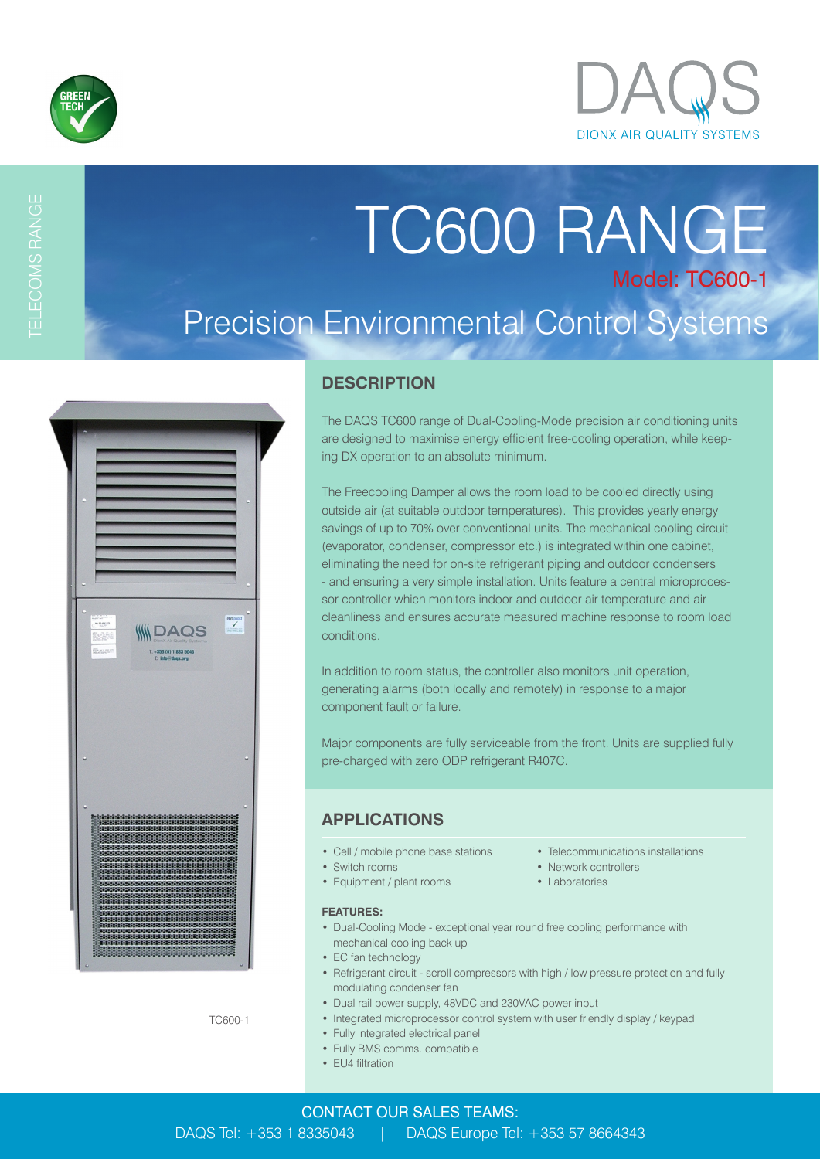

TELECOMS RANGE

# TC600 RANGE Model: TC600-1 Precision Environmental Control Systems

| <b>BAS</b><br>ebmoapst<br>$\frac{m \cos \alpha}{\cos \alpha}$<br><b>WOA</b><br>THUE<br>Ryk4<br>nX Air Que<br>EAST<br>$T: +353(0)18335043$<br>E: Info@dags.org                                                                              |
|--------------------------------------------------------------------------------------------------------------------------------------------------------------------------------------------------------------------------------------------|
|                                                                                                                                                                                                                                            |
|                                                                                                                                                                                                                                            |
| , 1914 - 1414 - 1414 - 1414 - 1414 - 1414 - 1414 - 1424 - 142<br>1424 - 1424 - 1424 - 1424 - 1424 - 1424 - 1424 - 1424 - 142<br><br>*******************************<br>52526262626262626262626262626262626262<br>,,,,,,,,,,,,,,,,,,,,,,,,, |

### **DESCRIPTION**

The DAQS TC600 range of Dual-Cooling-Mode precision air conditioning units are designed to maximise energy efficient free-cooling operation, while keeping DX operation to an absolute minimum.

The Freecooling Damper allows the room load to be cooled directly using outside air (at suitable outdoor temperatures). This provides yearly energy savings of up to 70% over conventional units. The mechanical cooling circuit (evaporator, condenser, compressor etc.) is integrated within one cabinet, eliminating the need for on-site refrigerant piping and outdoor condensers - and ensuring a very simple installation. Units feature a central microprocessor controller which monitors indoor and outdoor air temperature and air cleanliness and ensures accurate measured machine response to room load conditions.

In addition to room status, the controller also monitors unit operation, generating alarms (both locally and remotely) in response to a major component fault or failure.

Major components are fully serviceable from the front. Units are supplied fully pre-charged with zero ODP refrigerant R407C.

### **APPLICATIONS**

- 
- Switch rooms Network controllers
- Equipment / plant rooms Laboratories

#### **FEATURES:**

- Dual-Cooling Mode exceptional year round free cooling performance with mechanical cooling back up
- EC fan technology
- Refrigerant circuit scroll compressors with high / low pressure protection and fully modulating condenser fan
- Dual rail power supply, 48VDC and 230VAC power input
- Integrated microprocessor control system with user friendly display / keypad
- Fully integrated electrical panel
- Fully BMS comms. compatible
- EU4 filtration
- Cell / mobile phone base stations Telecommunications installations
	-
	-

TC600-1